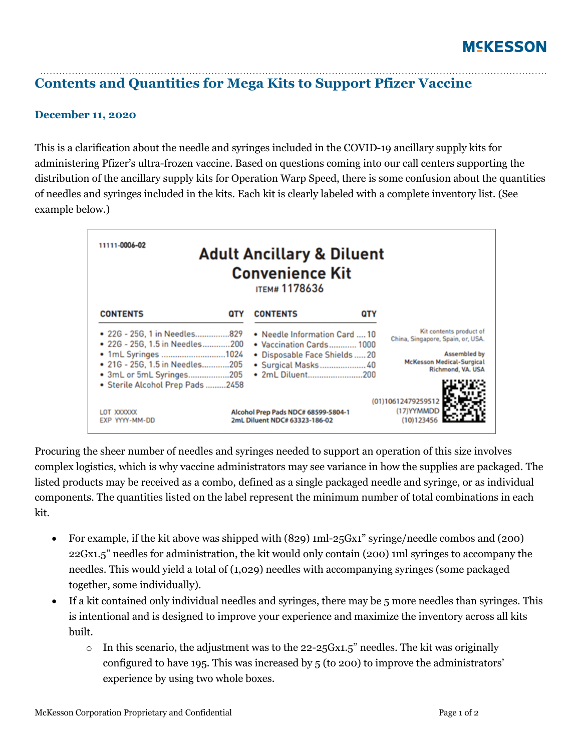## **Contents and Quantities for Mega Kits to Support Pfizer Vaccine**

## **December 11, 2020**

This is a clarification about the needle and syringes included in the COVID-19 ancillary supply kits for administering Pfizer's ultra-frozen vaccine. Based on questions coming into our call centers supporting the distribution of the ancillary supply kits for Operation Warp Speed, there is some confusion about the quantities of needles and syringes included in the kits. Each kit is clearly labeled with a complete inventory list. (See example below.)

| 11111-0006-02<br><b>Adult Ancillary &amp; Diluent</b><br><b>Convenience Kit</b><br><b>ITEM#1178636</b>                                              |            |                                                                                                                                       |     |                                                                                                                                              |
|-----------------------------------------------------------------------------------------------------------------------------------------------------|------------|---------------------------------------------------------------------------------------------------------------------------------------|-----|----------------------------------------------------------------------------------------------------------------------------------------------|
| <b>CONTENTS</b>                                                                                                                                     | <b>QTY</b> | <b>CONTENTS</b>                                                                                                                       | QTY |                                                                                                                                              |
| • 22G - 25G, 1 in Needles829<br>● 22G - 25G, 1.5 in Needles200<br>• 1mL Syringes 1024<br>• 21G - 25G, 1.5 in Needles205<br>• 3mL or 5mL Syringes205 |            | • Needle Information Card  10<br>• Vaccination Cards 1000<br>· Disposable Face Shields  20<br>· Surgical Masks 40<br>. 2mL Diluent200 |     | Kit contents product of<br>China, Singapore, Spain, or, USA.<br><b>Assembled by</b><br><b>McKesson Medical-Surgical</b><br>Richmond, VA. USA |
| · Sterile Alcohol Prep Pads 2458<br>LOT XXXXXX<br>EXP YYYY-MM-DD                                                                                    |            | Alcohol Prep Pads NDC# 68599-5804-1<br>2mL Diluent NDC# 63323-186-02                                                                  |     | (01)10612479259512<br>(17) YYMMDD<br>(10)123456                                                                                              |

Procuring the sheer number of needles and syringes needed to support an operation of this size involves complex logistics, which is why vaccine administrators may see variance in how the supplies are packaged. The listed products may be received as a combo, defined as a single packaged needle and syringe, or as individual components. The quantities listed on the label represent the minimum number of total combinations in each kit.

- For example, if the kit above was shipped with (829) 1ml-25Gx1" syringe/needle combos and (200) 22Gx1.5" needles for administration, the kit would only contain (200) 1ml syringes to accompany the needles. This would yield a total of (1,029) needles with accompanying syringes (some packaged together, some individually).
- If a kit contained only individual needles and syringes, there may be 5 more needles than syringes. This is intentional and is designed to improve your experience and maximize the inventory across all kits built.
	- $\circ$  In this scenario, the adjustment was to the 22-25 Gx1.5" needles. The kit was originally configured to have 195. This was increased by 5 (to 200) to improve the administrators' experience by using two whole boxes.